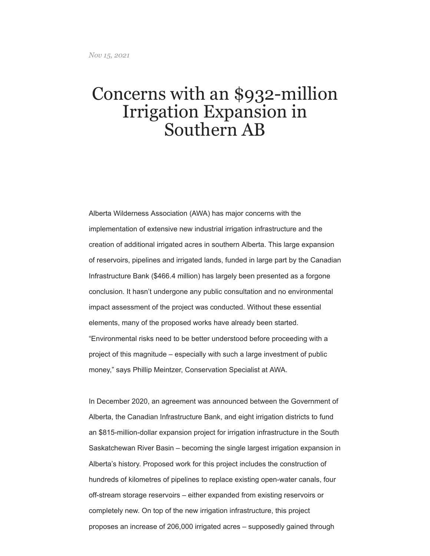## Concerns with an \$932-million Irrigation Expansion in Southern AB

Alberta Wilderness Association (AWA) has major concerns with the implementation of extensive new industrial irrigation infrastructure and the creation of additional irrigated acres in southern Alberta. This large expansion of reservoirs, pipelines and irrigated lands, funded in large part by the Canadian Infrastructure Bank (\$466.4 million) has largely been presented as a forgone conclusion. It hasn't undergone any public consultation and no environmental impact assessment of the project was conducted. Without these essential elements, many of the proposed works have already been started. "Environmental risks need to be better understood before proceeding with a project of this magnitude – especially with such a large investment of public money," says Phillip Meintzer, Conservation Specialist at AWA.

In December 2020, an agreement was announced between the Government of Alberta, the Canadian Infrastructure Bank, and eight irrigation districts to fund an \$815-million-dollar expansion project for irrigation infrastructure in the South Saskatchewan River Basin – becoming the single largest irrigation expansion in Alberta's history. Proposed work for this project includes the construction of hundreds of kilometres of pipelines to replace existing open-water canals, four off-stream storage reservoirs – either expanded from existing reservoirs or completely new. On top of the new irrigation infrastructure, this project proposes an increase of 206,000 irrigated acres – supposedly gained through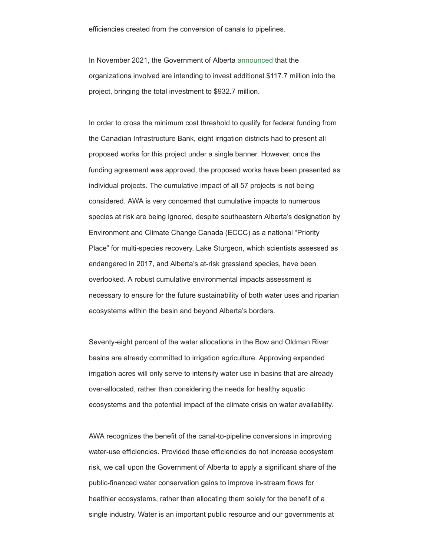efficiencies created from the conversion of canals to pipelines.

In November 2021, the Government of Alberta [announced](https://www.alberta.ca/release.cfm?xID=80353DD745B7C-F9CC-E885-87937FB9750683B3) that the organizations involved are intending to invest additional \$117.7 million into the project, bringing the total investment to \$932.7 million.

In order to cross the minimum cost threshold to qualify for federal funding from the Canadian Infrastructure Bank, eight irrigation districts had to present all proposed works for this project under a single banner. However, once the funding agreement was approved, the proposed works have been presented as individual projects. The cumulative impact of all 57 projects is not being considered. AWA is very concerned that cumulative impacts to numerous species at risk are being ignored, despite southeastern Alberta's designation by Environment and Climate Change Canada (ECCC) as a national "Priority Place" for multi-species recovery. Lake Sturgeon, which scientists assessed as endangered in 2017, and Alberta's at-risk grassland species, have been overlooked. A robust cumulative environmental impacts assessment is necessary to ensure for the future sustainability of both water uses and riparian ecosystems within the basin and beyond Alberta's borders.

Seventy-eight percent of the water allocations in the Bow and Oldman River basins are already committed to irrigation agriculture. Approving expanded irrigation acres will only serve to intensify water use in basins that are already over-allocated, rather than considering the needs for healthy aquatic ecosystems and the potential impact of the climate crisis on water availability.

AWA recognizes the benefit of the canal-to-pipeline conversions in improving water-use efficiencies. Provided these efficiencies do not increase ecosystem risk, we call upon the Government of Alberta to apply a significant share of the public-financed water conservation gains to improve in-stream flows for healthier ecosystems, rather than allocating them solely for the benefit of a single industry. Water is an important public resource and our governments at